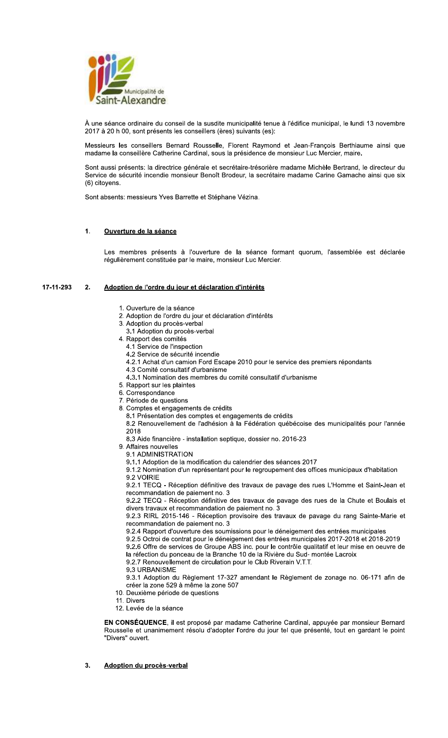

À une séance ordinaire du conseil de la susdite municipalité tenue à l'édifice municipal, le lundi 13 novembre 2017 à 20 h 00, sont présents les conseillers (ères) suivants (es):

Messieurs les conseillers Bernard Rousselle, Florent Raymond et Jean-François Berthiaume ainsi que madame la conseillère Catherine Cardinal, sous la présidence de monsieur Luc Mercier, maire.

Sont aussi présents: la directrice générale et secrétaire-trésorière madame Michèle Bertrand, le directeur du Service de sécurité incendie monsieur Benoît Brodeur, la secrétaire madame Carine Gamache ainsi que six (6) citoyens.

Sont absents: messieurs Yves Barrette et Stéphane Vézina.

#### $1.$ Ouverture de la séance

Les membres présents à l'ouverture de la séance formant quorum, l'assemblée est déclarée régulièrement constituée par le maire, monsieur Luc Mercier.

#### 17-11-293  $2.$ Adoption de l'ordre du jour et déclaration d'intérêts

- 1. Ouverture de la séance
- 2. Adoption de l'ordre du jour et déclaration d'intérêts
- 3. Adoption du procès-verbal
- 3.1 Adoption du procès-verbal
- 4. Rapport des comités
	- 4.1 Service de l'inspection
	- 4.2 Service de sécurité incendie
	- 4.2.1 Achat d'un camion Ford Escape 2010 pour le service des premiers répondants
	- 4.3 Comité consultatif d'urbanisme
	- 4.3.1 Nomination des membres du comité consultatif d'urbanisme
- 5. Rapport sur les plaintes
- 6. Correspondance
- 7. Période de questions
- 8. Comptes et engagements de crédits
	- 8.1 Présentation des comptes et engagements de crédits
	- 8.2 Renouvellement de l'adhésion à la Fédération québécoise des municipalités pour l'année 2018
	- 8.3 Aide financière installation septique, dossier no. 2016-23
- 9. Affaires nouvelles
	- 9.1 ADMINISTRATION
	- 9.1.1 Adoption de la modification du calendrier des séances 2017

9.1.2 Nomination d'un représentant pour le regroupement des offices municipaux d'habitation 9.2 VOIRIE

9.2.1 TECQ - Réception définitive des travaux de pavage des rues L'Homme et Saint-Jean et recommandation de paiement no. 3

9.2.2 TECQ - Réception définitive des travaux de pavage des rues de la Chute et Boulais et divers travaux et recommandation de paiement no. 3

9.2.3 RIRL 2015-146 - Réception provisoire des travaux de pavage du rang Sainte-Marie et recommandation de paiement no. 3

9.2.4 Rapport d'ouverture des soumissions pour le déneigement des entrées municipales

9.2.5 Octroi de contrat pour le déneigement des entrées municipales 2017-2018 et 2018-2019

9.2.6 Offre de services de Groupe ABS inc. pour le contrôle qualitatif et leur mise en oeuvre de la réfection du ponceau de la Branche 10 de la Rivière du Sud-montée Lacroix

9.2.7 Renouvellement de circulation pour le Club Riverain V.T.T.

9.3 URBANISME

9.3.1 Adoption du Règlement 17-327 amendant le Règlement de zonage no. 06-171 afin de créer la zone 529 à même la zone 507

- 10. Deuxième période de questions
- 11. Divers
- 12. Levée de la séance

EN CONSÉQUENCE, il est proposé par madame Catherine Cardinal, appuyée par monsieur Bernard Rousselle et unanimement résolu d'adopter l'ordre du jour tel que présenté, tout en gardant le point "Divers" ouvert.

 $3<sub>1</sub>$ Adoption du procès-verbal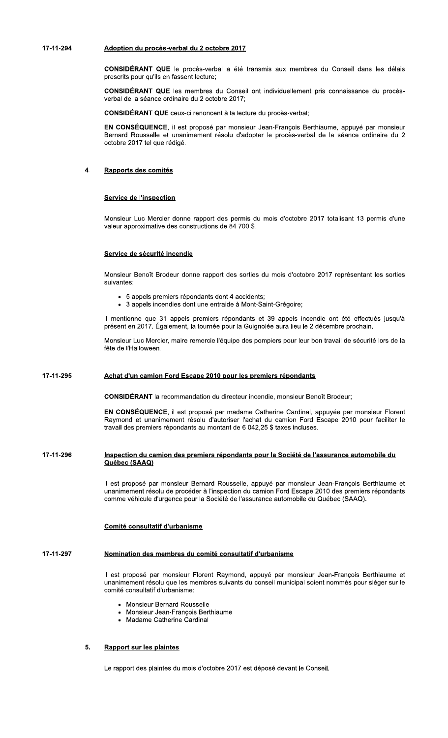# 789779:;< =>?@A>B =C ?D>EFG9HIDJKL =C : >E@>JDI :M78

CONSIDERANI (

SIDERANT QUE R

**SIDERANT QUE CO** 

**Adoption du procès-verbal du 2 octobre 2017**<br> **CONSIDÉRANT QUE** le procès-verbal a été transmis aux membres du Conseil dans les délais<br>
prescrits pour qu'ils en fassent lecture;<br> **CONSIDÉRANT QUE** les membres du Conseil o Adoption du procès-verbal du 2 octobre 2017<br>
CONSIDÉRANT QUE le procès-verbal a été transmis aux membres du Conseil dans les délais<br>
prescrits pour qu'ils en fassent lecture;<br>
CONSIDÉRANT QUE les membres du Conseil ont ind **CONSIDÉRANT QUE** le procès-verbal a été transmis aux membres du Conseil dans<br>prescrits pour qu'ils en fassent lecture;<br>**CONSIDÉRANT QUE** les membres du Conseil ont individuellement pris connaissance (verbal de la séance o **CONSEQUENCE,** Il est propose par monsieur Jean-François Berthlaume, appuye par monsieur Bernard Rousselle et unanimement résolu d'adopter le procès-verbal de la séance ordinaire du 2 octobre 2017 tel que rédigé.

# 4. <u>Rapports des comites</u>

# <u>de l'inspection</u>

Monsieur Luc Mercier donne rapport des permis du mois d'octobre 2017 totalisant 13 permis d'une Service de l'Inspection<br>Monsieur Luc Mercier donne rapport des permis du<br>valeur approximative des constructions de 84 700 \$.

# <u>Service de securite incendie</u>

- 
- 

Service de sécurité incendie<br>
Monsieur Benoît Brodeur donne rapport des sorties du mois d'octobre 2017 représentant les sorties<br>
suivantes:<br>
• 5 appels premiers répondants dont 4 accidents;<br>
• 3 appels incendies dont une e fête de l'Halloween

# <u>a'un camion Ford Escape 2010 pour les premiers repondants</u>

**CONSIDERAN** 

Mercier, maire remercie l'équipe des pompiers pour leur bon travail de sécurité lors de la<br>
een.<br>
mion Ford Escape 2010 pour les premiers répondants<br>
T la recommandation du directeur incendie, monsieur Benoît Brodeur;<br>
ENC **EN CONSEQUENCE**, il est propose par madame Catherine Cardinal, appuyee par monsieur Florent Raymond et unanimement résolu d'autoriser l'achat du camion Ford Escape 2010 pour faciliter le travail des premiers répondants au montant de 6 042,25 \$ taxes incluses. Achat d'un camion Ford Escape 2010 pour les premiers repondants<br>CONSIDÉRANT la recommandation du directeur incendie, monsieur Benoît<br>EN CONSÉQUENCE, il est proposé par madame Catherine Cardinal, app<br>Raymond et unanimement

# Inspection du camion des premiers répondants pour la Société de l'assurance automobile du<br>Québec (SAAQ)<br>Il est proposé par monsieur Bernard Rousselle, appuyé par monsieur Jean-François Berthiaume et <u>du camion des premiers repondants pour la Societe de l'assurance automobile du</u> <u>Quebec (SAAQ)</u>

unanimement résolu de procéder à l'inspection du camion Ford Escape 2010 des premiers répondants<br>comme véhicule d'urgence pour la Société de l'assurance automobile du Québec (SAAQ).

# <u>Comite consultatif d'urbanisme</u>

#### 17-11-297 <u>omination des membres du comité consultatif d'urbanisme</u>

Il est proposé par monsieur Florent Raymond, appuyé par monsieur Jean-François Berthiaume et unanimement résolu que les membres suivants du conseil municipal soient nommés pour siéger sur le comité consultatif d'urbanisme:

- Monsieur Bernard Rousselle
- Monsieur Jean-François Berthiaume
- Madame Catherine Cardinal

#### $5<sub>1</sub>$ <u>sur les plaintes</u>

Le rapport des plaintes du mois d'octobre 2017 est déposé devant le Conseil.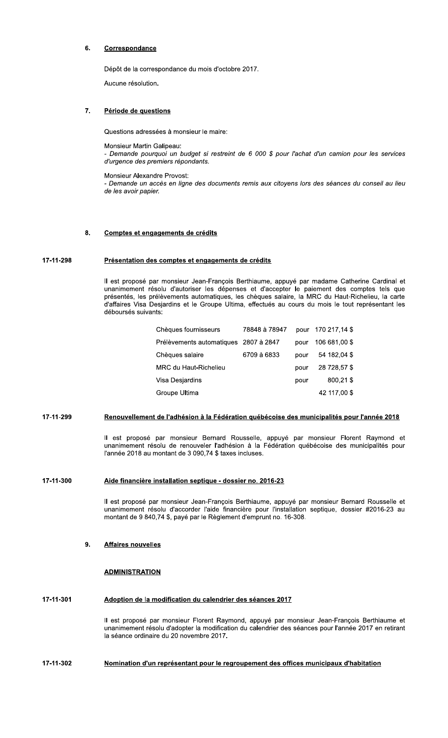#### 6 Correspondance

Dépôt de la correspondance du mois d'octobre 2017.

Aucune résolution.

#### Période de questions 7.

Questions adressées à monsieur le maire:

Monsieur Martin Galipeau:

Demande pourquoi un budget si restreint de 6 000 \$ pour l'achat d'un camion pour les services d'urgence des premiers répondants.

Monsieur Alexandre Provost:

- Demande un accès en ligne des documents remis aux citoyens lors des séances du conseil au lieu de les avoir papier.

#### Comptes et engagements de crédits  $\mathbf{R}$

#### 17-11-298 Présentation des comptes et engagements de crédits

Il est proposé par monsieur Jean-François Berthiaume, appuyé par madame Catherine Cardinal et unanimement résolu d'autoriser les dépenses et d'accepter le paiement des comptes tels que présentés, les prélèvements automatiques, les chèques salaire, la MRC du Haut-Richelieu, la carte d'affaires Visa Desjardins et le Groupe Ultima, effectués au cours du mois le tout représentant les déboursés suivants:

| Chèques fournisseurs                  | 78848 à 78947 | pour | 170 217.14 \$ |
|---------------------------------------|---------------|------|---------------|
| Prélèvements automatiques 2807 à 2847 |               | pour | 106 681,00 \$ |
| Chèques salaire                       | 6709 à 6833   | pour | 54 182,04 \$  |
| MRC du Haut-Richelieu                 |               | pour | 28 728.57 \$  |
| Visa Desjardins                       |               | pour | 800.21\$      |
| Groupe Ultima                         |               |      | 42 117,00 \$  |
|                                       |               |      |               |

#### 17-11-299 Renouvellement de l'adhésion à la Fédération québécoise des municipalités pour l'année 2018

Il est proposé par monsieur Bernard Rousselle, appuyé par monsieur Florent Raymond et<br>unanimement résolu de renouveler l'adhésion à la Fédération québécoise des municipalités pour l'année 2018 au montant de 3 090,74 \$ taxes incluses.

#### 17-11-300 Aide financière installation septique - dossier no. 2016-23

Il est proposé par monsieur Jean-François Berthiaume, appuyé par monsieur Bernard Rousselle et unanimement résolu d'accorder l'aide financière pour l'installation septique, dossier #2016-23 au montant de 9 840,74 \$, payé par le Règlement d'emprunt no. 16-308.

#### 9. **Affaires nouvelles**

### **ADMINISTRATION**

#### 17-11-301 Adoption de la modification du calendrier des séances 2017

Il est proposé par monsieur Florent Raymond, appuyé par monsieur Jean-François Berthiaume et unanimement résolu d'adopter la modification du calendrier des séances pour l'année 2017 en retirant la séance ordinaire du 20 novembre 2017.

#### 17-11-302 Nomination d'un représentant pour le regroupement des offices municipaux d'habitation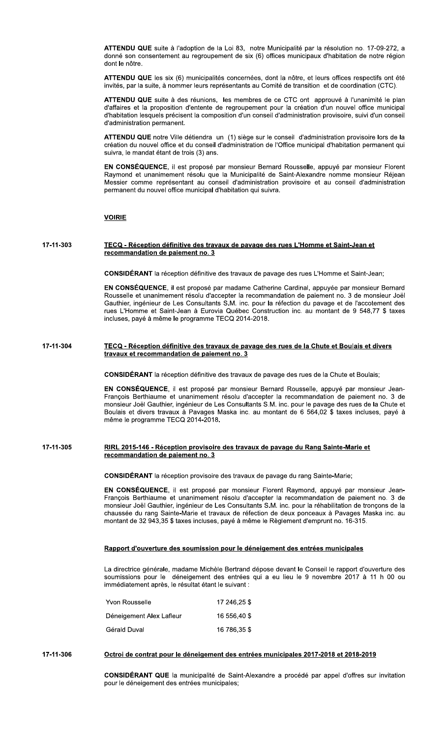ATTENDU QUE suite à l'adoption de la Loi 83, notre Municipalité par la résolution no. 17-09-272, a donné son consentement au regroupement de six (6) offices municipaux d'habitation de notre région dont le nôtre.

ATTENDU QUE les six (6) municipalités concernées, dont la nôtre, et leurs offices respectifs ont été invités, par la suite, à nommer leurs représentants au Comité de transition et de coordination (CTC).

ATTENDU QUE suite à des réunions, les membres de ce CTC ont approuvé à l'unanimité le plan d'affaires et la proposition d'entente de regroupement pour la création d'un nouvel office municipal d'habitation lesquels précisent la composition d'un conseil d'administration provisoire, suivi d'un conseil d'administration permanent.

ATTENDU QUE notre Ville détiendra un (1) siège sur le conseil d'administration provisoire lors de la création du nouvel office et du conseil d'administration de l'Office municipal d'habitation permanent qui suivra, le mandat étant de trois (3) ans.

EN CONSÉQUENCE, il est proposé par monsieur Bernard Rousselle, appuyé par monsieur Florent Raymond et unanimement résolu que la Municipalité de Saint-Alexandre nomme monsieur Réjean Messier comme représentant au conseil d'administration provisoire et au conseil d'administration permanent du nouvel office municipal d'habitation qui suivra.

## **VOIRIE**

17-11-303 TECQ - Réception définitive des travaux de pavage des rues L'Homme et Saint-Jean et recommandation de paiement no. 3

CONSIDÉRANT la réception définitive des travaux de pavage des rues L'Homme et Saint-Jean;

EN CONSÉQUENCE, il est proposé par madame Catherine Cardinal, appuyée par monsieur Bernard Rousselle et unanimement résolu d'accepter la recommandation de paiement no. 3 de monsieur Joël Gauthier, ingénieur de Les Consultants S.M. inc. pour la réfection du pavage et de l'accotement des rues L'Homme et Saint-Jean à Eurovia Québec Construction inc. au montant de 9 548,77 \$ taxes incluses, payé à même le programme TECQ 2014-2018.

17-11-304 TECQ - Réception définitive des travaux de pavage des rues de la Chute et Boulais et divers travaux et recommandation de paiement no. 3

CONSIDÉRANT la réception définitive des travaux de pavage des rues de la Chute et Boulais;

EN CONSÉQUENCE, il est proposé par monsieur Bernard Rousselle, appuyé par monsieur Jean-François Berthiaume et unanimement résolu d'accepter la recommandation de paiement no. 3 de monsieur Joël Gauthier, ingénieur de Les Consultants S.M. inc. pour le pavage des rues de la Chute et Boulais et divers travaux à Pavages Maska inc. au montant de 6 564,02 \$ taxes incluses, payé à même le programme TECQ 2014-2018.

#### 17-11-305 RIRL 2015-146 - Réception provisoire des travaux de pavage du Rang Sainte-Marie et recommandation de paiement no. 3

CONSIDÉRANT la réception provisoire des travaux de pavage du rang Sainte-Marie;

EN CONSÉQUENCE, il est proposé par monsieur Florent Raymond, appuyé par monsieur Jean-François Berthiaume et unanimement résolu d'accepter la recommandation de paiement no. 3 de monsieur Joël Gauthier, ingénieur de Les Consultants S.M. inc. pour la réhabilitation de tronçons de la chaussée du rang Sainte-Marie et travaux de réfection de deux ponceaux à Pavages Maska inc. au montant de 32 943,35 \$ taxes incluses, payé à même le Règlement d'emprunt no. 16-315.

### Rapport d'ouverture des soumission pour le déneigement des entrées municipales

La directrice générale, madame Michèle Bertrand dépose devant le Conseil le rapport d'ouverture des soumissions pour le déneigement des entrées qui a eu lieu le 9 novembre 2017 à 11 h 00 ou immédiatement après, le résultat étant le suivant :

| Yvon Rousselle           | 17 246.25 \$ |
|--------------------------|--------------|
| Déneigement Alex Lafleur | 16 556,40 \$ |
| Gérald Duval             | 16 786,35 \$ |

#### 17-11-306 Octroi de contrat pour le déneigement des entrées municipales 2017-2018 et 2018-2019

CONSIDÉRANT QUE la municipalité de Saint-Alexandre a procédé par appel d'offres sur invitation pour le déneigement des entrées municipales;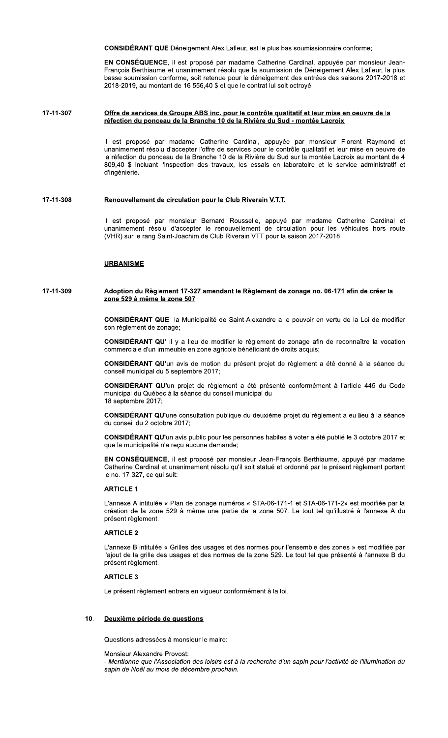CONSIDÉRANT QUE Déneigement Alex Lafleur, est le plus bas soumissionnaire conforme;

EN CONSÉQUENCE, il est proposé par madame Catherine Cardinal, appuyée par monsieur Jean-François Berthiaume et unanimement résolu que la soumission de Déneigement Alex Lafleur, la plus basse soumission conforme, soit retenue pour le déneigement des entrées des saisons 2017-2018 et 2018-2019, au montant de 16 556,40 \$ et que le contrat lui soit octroyé.

#### 17-11-307 Offre de services de Groupe ABS inc. pour le contrôle qualitatif et leur mise en oeuvre de la réfection du ponceau de la Branche 10 de la Rivière du Sud - montée Lacroix

Il est proposé par madame Catherine Cardinal, appuyée par monsieur Florent Raymond et unanimement résolu d'accepter l'offre de services pour le contrôle qualitatif et leur mise en oeuvre de la réfection du ponceau de la Branche 10 de la Rivière du Sud sur la montée Lacroix au montant de 4 809,40 \$ incluant l'inspection des travaux, les essais en laboratoire et le service administratif et d'ingénierie.

#### Renouvellement de circulation pour le Club Riverain V.T.T. 17-11-308

Il est proposé par monsieur Bernard Rousselle, appuyé par madame Catherine Cardinal et unanimement résolu d'accepter le renouvellement de circulation pour les véhicules hors route (VHR) sur le rang Saint-Joachim de Club Riverain VTT pour la saison 2017-2018.

### **URBANISME**

#### 17-11-309 <u>Adoption du Règlement 17-327 amendant le Règlement de zonage no. 06-171 afin de créer la</u> zone 529 à même la zone 507

CONSIDÉRANT QUE la Municipalité de Saint-Alexandre a le pouvoir en vertu de la Loi de modifier son règlement de zonage;

CONSIDÉRANT QU' il y a lieu de modifier le règlement de zonage afin de reconnaître la vocation commerciale d'un immeuble en zone agricole bénéficiant de droits acquis;

CONSIDÉRANT QU'un avis de motion du présent projet de règlement a été donné à la séance du conseil municipal du 5 septembre 2017;

CONSIDÉRANT QU'un projet de règlement a été présenté conformément à l'article 445 du Code municipal du Québec à la séance du conseil municipal du 18 septembre 2017:

CONSIDÉRANT QU'une consultation publique du deuxième projet du règlement a eu lieu à la séance du conseil du 2 octobre 2017;

CONSIDÉRANT QU'un avis public pour les personnes habiles à voter a été publié le 3 octobre 2017 et que la municipalité n'a reçu aucune demande;

EN CONSÉQUENCE, il est proposé par monsieur Jean-François Berthiaume, appuyé par madame Catherine Cardinal et unanimement résolu qu'il soit statué et ordonné par le présent règlement portant le no. 17-327, ce qui suit:

### **ARTICLE 1**

L'annexe A intitulée « Plan de zonage numéros « STA-06-171-1 et STA-06-171-2» est modifiée par la création de la zone 529 à même une partie de la zone 507. Le tout tel qu'illustré à l'annexe A du présent règlement.

### **ARTICLE 2**

L'annexe B intitulée « Grilles des usages et des normes pour l'ensemble des zones » est modifiée par l'ajout de la grille des usages et des normes de la zone 529. Le tout tel que présenté à l'annexe B du présent règlement.

### **ARTICLE 3**

Le présent règlement entrera en vigueur conformément à la loi.

#### Deuxième période de questions 10.

Questions adressées à monsieur le maire:

### Monsieur Alexandre Provost:

- Mentionne que l'Association des loisirs est à la recherche d'un sapin pour l'activité de l'illumination du sapin de Noël au mois de décembre prochain.